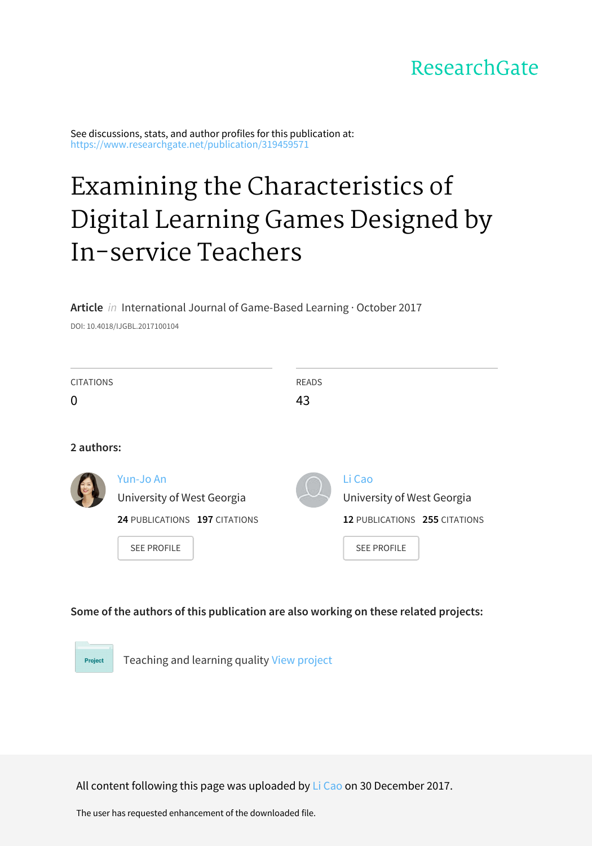## ResearchGate

See discussions, stats, and author profiles for this publication at: [https://www.researchgate.net/publication/319459571](https://www.researchgate.net/publication/319459571_Examining_the_Characteristics_of_Digital_Learning_Games_Designed_by_In-service_Teachers?enrichId=rgreq-5a9f2376d325861c4149a037642da811-XXX&enrichSource=Y292ZXJQYWdlOzMxOTQ1OTU3MTtBUzo1NzcyNTQ0NDc5NjAwNjRAMTUxNDYzOTU5MzUyMA%3D%3D&el=1_x_2&_esc=publicationCoverPdf)

# Examining the [Characteristics](https://www.researchgate.net/publication/319459571_Examining_the_Characteristics_of_Digital_Learning_Games_Designed_by_In-service_Teachers?enrichId=rgreq-5a9f2376d325861c4149a037642da811-XXX&enrichSource=Y292ZXJQYWdlOzMxOTQ1OTU3MTtBUzo1NzcyNTQ0NDc5NjAwNjRAMTUxNDYzOTU5MzUyMA%3D%3D&el=1_x_3&_esc=publicationCoverPdf) of Digital Learning Games Designed by In-service Teachers

#### **Article** in International Journal of Game-Based Learning · October 2017

DOI: 10.4018/IJGBL.2017100104

| <b>CITATIONS</b> |                               | <b>READS</b> |                               |
|------------------|-------------------------------|--------------|-------------------------------|
| 0                |                               | 43           |                               |
|                  |                               |              |                               |
| 2 authors:       |                               |              |                               |
|                  | Yun-Jo An                     |              | Li Cao                        |
|                  | University of West Georgia    |              | University of West Georgia    |
|                  | 24 PUBLICATIONS 197 CITATIONS |              | 12 PUBLICATIONS 255 CITATIONS |
|                  | <b>SEE PROFILE</b>            |              | <b>SEE PROFILE</b>            |

#### **Some of the authors of this publication are also working on these related projects:**

Teaching and learning quality View [project](https://www.researchgate.net/project/Teaching-and-learning-quality?enrichId=rgreq-5a9f2376d325861c4149a037642da811-XXX&enrichSource=Y292ZXJQYWdlOzMxOTQ1OTU3MTtBUzo1NzcyNTQ0NDc5NjAwNjRAMTUxNDYzOTU5MzUyMA%3D%3D&el=1_x_9&_esc=publicationCoverPdf) Project

All content following this page was uploaded by Li [Cao](https://www.researchgate.net/profile/Li_Cao20?enrichId=rgreq-5a9f2376d325861c4149a037642da811-XXX&enrichSource=Y292ZXJQYWdlOzMxOTQ1OTU3MTtBUzo1NzcyNTQ0NDc5NjAwNjRAMTUxNDYzOTU5MzUyMA%3D%3D&el=1_x_10&_esc=publicationCoverPdf) on 30 December 2017.

The user has requested enhancement of the downloaded file.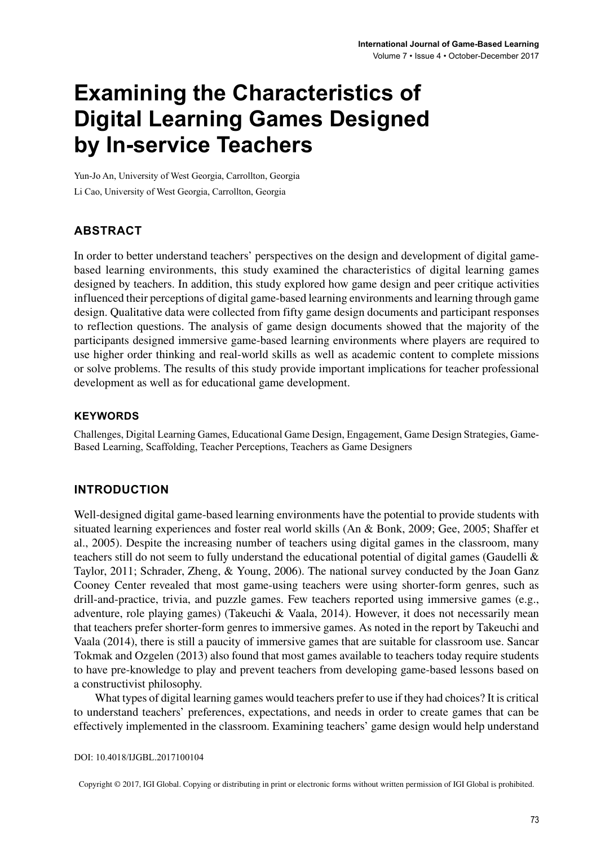# **Examining the Characteristics of Digital Learning Games Designed by In-service Teachers**

Yun-Jo An, University of West Georgia, Carrollton, Georgia Li Cao, University of West Georgia, Carrollton, Georgia

#### **ABSTRACT**

In order to better understand teachers' perspectives on the design and development of digital gamebased learning environments, this study examined the characteristics of digital learning games designed by teachers. In addition, this study explored how game design and peer critique activities influenced their perceptions of digital game-based learning environments and learning through game design. Qualitative data were collected from fifty game design documents and participant responses to reflection questions. The analysis of game design documents showed that the majority of the participants designed immersive game-based learning environments where players are required to use higher order thinking and real-world skills as well as academic content to complete missions or solve problems. The results of this study provide important implications for teacher professional development as well as for educational game development.

#### **Keywords**

Challenges, Digital Learning Games, Educational Game Design, Engagement, Game Design Strategies, Game-Based Learning, Scaffolding, Teacher Perceptions, Teachers as Game Designers

#### **INTRODUCTION**

Well-designed digital game-based learning environments have the potential to provide students with situated learning experiences and foster real world skills (An & Bonk, 2009; Gee, 2005; Shaffer et al., 2005). Despite the increasing number of teachers using digital games in the classroom, many teachers still do not seem to fully understand the educational potential of digital games (Gaudelli & Taylor, 2011; Schrader, Zheng, & Young, 2006). The national survey conducted by the Joan Ganz Cooney Center revealed that most game-using teachers were using shorter-form genres, such as drill-and-practice, trivia, and puzzle games. Few teachers reported using immersive games (e.g., adventure, role playing games) (Takeuchi & Vaala, 2014). However, it does not necessarily mean that teachers prefer shorter-form genres to immersive games. As noted in the report by Takeuchi and Vaala (2014), there is still a paucity of immersive games that are suitable for classroom use. Sancar Tokmak and Ozgelen (2013) also found that most games available to teachers today require students to have pre-knowledge to play and prevent teachers from developing game-based lessons based on a constructivist philosophy.

What types of digital learning games would teachers prefer to use if they had choices? It is critical to understand teachers' preferences, expectations, and needs in order to create games that can be effectively implemented in the classroom. Examining teachers' game design would help understand

DOI: 10.4018/IJGBL.2017100104

Copyright © 2017, IGI Global. Copying or distributing in print or electronic forms without written permission of IGI Global is prohibited.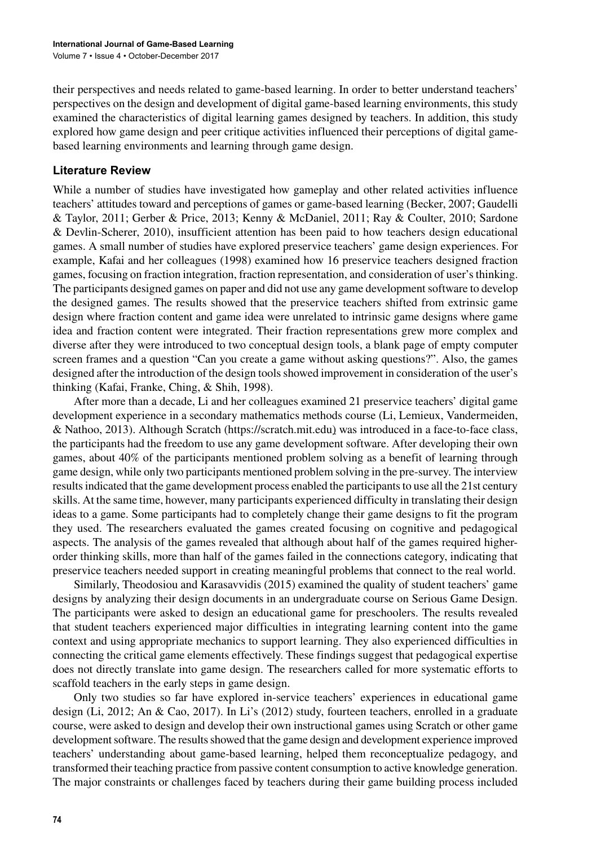their perspectives and needs related to game-based learning. In order to better understand teachers' perspectives on the design and development of digital game-based learning environments, this study examined the characteristics of digital learning games designed by teachers. In addition, this study explored how game design and peer critique activities influenced their perceptions of digital gamebased learning environments and learning through game design.

#### **Literature Review**

While a number of studies have investigated how gameplay and other related activities influence teachers' attitudes toward and perceptions of games or game-based learning (Becker, 2007; Gaudelli & Taylor, 2011; Gerber & Price, 2013; Kenny & McDaniel, 2011; Ray & Coulter, 2010; Sardone & Devlin-Scherer, 2010), insufficient attention has been paid to how teachers design educational games. A small number of studies have explored preservice teachers' game design experiences. For example, Kafai and her colleagues (1998) examined how 16 preservice teachers designed fraction games, focusing on fraction integration, fraction representation, and consideration of user's thinking. The participants designed games on paper and did not use any game development software to develop the designed games. The results showed that the preservice teachers shifted from extrinsic game design where fraction content and game idea were unrelated to intrinsic game designs where game idea and fraction content were integrated. Their fraction representations grew more complex and diverse after they were introduced to two conceptual design tools, a blank page of empty computer screen frames and a question "Can you create a game without asking questions?". Also, the games designed after the introduction of the design toolsshowed improvement in consideration of the user's thinking (Kafai, Franke, Ching, & Shih, 1998).

After more than a decade, Li and her colleagues examined 21 preservice teachers' digital game development experience in a secondary mathematics methods course (Li, Lemieux, Vandermeiden, & Nathoo, 2013). Although Scratch (https://scratch.mit.edu) was introduced in a face-to-face class, the participants had the freedom to use any game development software. After developing their own games, about 40% of the participants mentioned problem solving as a benefit of learning through game design, while only two participants mentioned problem solving in the pre-survey. The interview results indicated that the game development process enabled the participants to use all the 21st century skills. At the same time, however, many participants experienced difficulty in translating their design ideas to a game. Some participants had to completely change their game designs to fit the program they used. The researchers evaluated the games created focusing on cognitive and pedagogical aspects. The analysis of the games revealed that although about half of the games required higherorder thinking skills, more than half of the games failed in the connections category, indicating that preservice teachers needed support in creating meaningful problems that connect to the real world.

Similarly, Theodosiou and Karasavvidis (2015) examined the quality of student teachers' game designs by analyzing their design documents in an undergraduate course on Serious Game Design. The participants were asked to design an educational game for preschoolers. The results revealed that student teachers experienced major difficulties in integrating learning content into the game context and using appropriate mechanics to support learning. They also experienced difficulties in connecting the critical game elements effectively. These findings suggest that pedagogical expertise does not directly translate into game design. The researchers called for more systematic efforts to scaffold teachers in the early steps in game design.

Only two studies so far have explored in-service teachers' experiences in educational game design (Li, 2012; An & Cao, 2017). In Li's (2012) study, fourteen teachers, enrolled in a graduate course, were asked to design and develop their own instructional games using Scratch or other game development software. The results showed that the game design and development experience improved teachers' understanding about game-based learning, helped them reconceptualize pedagogy, and transformed their teaching practice from passive content consumption to active knowledge generation. The major constraints or challenges faced by teachers during their game building process included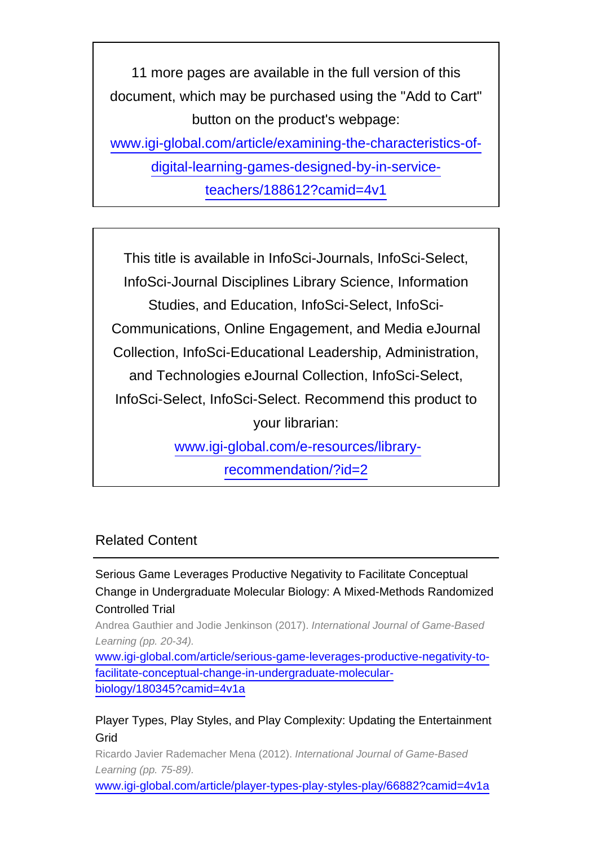11 more pages are available in the full version of this document, which may be purchased using the "Add to Cart" button on the product's webpage: [www.igi-global.com/article/examining-the-characteristics-of-](http://www.igi-global.com/article/examining-the-characteristics-of-digital-learning-games-designed-by-in-service-teachers/188612?camid=4v1)

[digital-learning-games-designed-by-in-service-](http://www.igi-global.com/article/examining-the-characteristics-of-digital-learning-games-designed-by-in-service-teachers/188612?camid=4v1)

[teachers/188612?camid=4v1](http://www.igi-global.com/article/examining-the-characteristics-of-digital-learning-games-designed-by-in-service-teachers/188612?camid=4v1)

This title is available in InfoSci-Journals, InfoSci-Select, InfoSci-Journal Disciplines Library Science, Information Studies, and Education, InfoSci-Select, InfoSci-Communications, Online Engagement, and Media eJournal Collection, InfoSci-Educational Leadership, Administration, and Technologies eJournal Collection, InfoSci-Select, InfoSci-Select, InfoSci-Select. Recommend this product to your librarian: [www.igi-global.com/e-resources/library-](http://www.igi-global.com/e-resources/library-recommendation/?id=2)

[recommendation/?id=2](http://www.igi-global.com/e-resources/library-recommendation/?id=2)

### Related Content

Serious Game Leverages Productive Negativity to Facilitate Conceptual Change in Undergraduate Molecular Biology: A Mixed-Methods Randomized Controlled Trial

Andrea Gauthier and Jodie Jenkinson (2017). International Journal of Game-Based Learning (pp. 20-34).

[www.igi-global.com/article/serious-game-leverages-productive-negativity-to](http://www.igi-global.com/article/serious-game-leverages-productive-negativity-to-facilitate-conceptual-change-in-undergraduate-molecular-biology/180345?camid=4v1a)[facilitate-conceptual-change-in-undergraduate-molecular](http://www.igi-global.com/article/serious-game-leverages-productive-negativity-to-facilitate-conceptual-change-in-undergraduate-molecular-biology/180345?camid=4v1a)[biology/180345?camid=4v1a](http://www.igi-global.com/article/serious-game-leverages-productive-negativity-to-facilitate-conceptual-change-in-undergraduate-molecular-biology/180345?camid=4v1a)

### Player Types, Play Styles, and Play Complexity: Updating the Entertainment Grid

Ricardo Javier Rademacher Mena (2012). International Journal of Game-Based Learning (pp. 75-89).

[www.igi-global.com/article/player-types-play-styles-play/66882?camid=4v1a](http://www.igi-global.com/article/player-types-play-styles-play/66882?camid=4v1a)